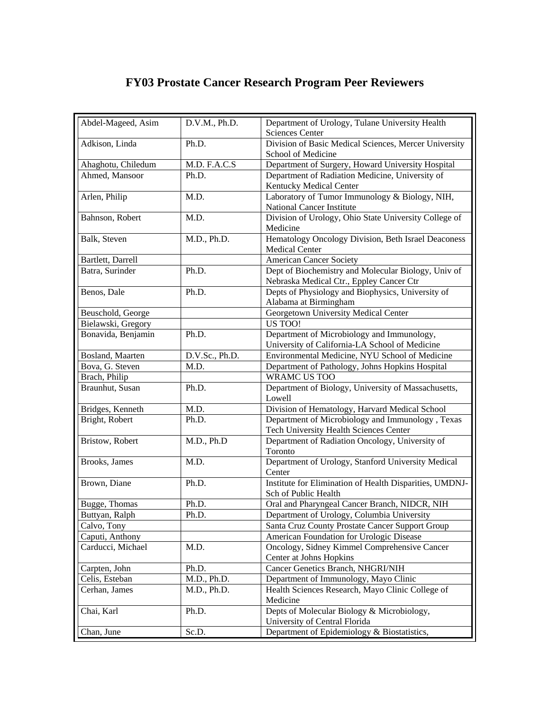## **FY03 Prostate Cancer Research Program Peer Reviewers**

| Adkison, Linda<br>Division of Basic Medical Sciences, Mercer University<br>Ph.D.<br>School of Medicine<br>M.D. F.A.C.S<br>Department of Surgery, Howard University Hospital<br>Ahaghotu, Chiledum<br>Ahmed, Mansoor<br>Department of Radiation Medicine, University of<br>Ph.D.<br>Kentucky Medical Center<br>Arlen, Philip<br>Laboratory of Tumor Immunology & Biology, NIH,<br>M.D.<br><b>National Cancer Institute</b><br>Division of Urology, Ohio State University College of<br>Bahnson, Robert<br>M.D.<br>Medicine<br>Hematology Oncology Division, Beth Israel Deaconess<br>Balk, Steven<br>M.D., Ph.D.<br>Medical Center<br><b>American Cancer Society</b><br>Bartlett, Darrell<br>Batra, Surinder<br>Dept of Biochemistry and Molecular Biology, Univ of<br>Ph.D.<br>Nebraska Medical Ctr., Eppley Cancer Ctr<br>Benos, Dale<br>Ph.D.<br>Depts of Physiology and Biophysics, University of<br>Alabama at Birmingham<br>Georgetown University Medical Center<br>Beuschold, George<br>US TOO!<br>Bielawski, Gregory<br>Bonavida, Benjamin<br>Department of Microbiology and Immunology,<br>Ph.D.<br>University of California-LA School of Medicine<br>D.V.Sc., Ph.D.<br>Bosland, Maarten<br>Environmental Medicine, NYU School of Medicine<br>Bova, G. Steven<br>Department of Pathology, Johns Hopkins Hospital<br>M.D.<br>WRAMC US TOO<br>Brach, Philip<br>Braunhut, Susan<br>Department of Biology, University of Massachusetts,<br>Ph.D.<br>Lowell<br>Bridges, Kenneth<br>M.D.<br>Division of Hematology, Harvard Medical School<br>Bright, Robert<br>Department of Microbiology and Immunology, Texas<br>Ph.D.<br>Tech University Health Sciences Center<br>M.D., Ph.D<br>Bristow, Robert<br>Department of Radiation Oncology, University of<br>Toronto<br>Department of Urology, Stanford University Medical<br>Brooks, James<br>M.D.<br>Center<br>Institute for Elimination of Health Disparities, UMDNJ-<br>Brown, Diane<br>Ph.D.<br>Sch of Public Health<br>Oral and Pharyngeal Cancer Branch, NIDCR, NIH<br>Ph.D.<br>Bugge, Thomas<br>Department of Urology, Columbia University<br>Buttyan, Ralph<br>Ph.D.<br>Calvo, Tony<br>Santa Cruz County Prostate Cancer Support Group<br>Caputi, Anthony<br>American Foundation for Urologic Disease<br>Oncology, Sidney Kimmel Comprehensive Cancer<br>Carducci, Michael<br>M.D.<br>Center at Johns Hopkins | Abdel-Mageed, Asim | D.V.M., Ph.D. | Department of Urology, Tulane University Health |
|------------------------------------------------------------------------------------------------------------------------------------------------------------------------------------------------------------------------------------------------------------------------------------------------------------------------------------------------------------------------------------------------------------------------------------------------------------------------------------------------------------------------------------------------------------------------------------------------------------------------------------------------------------------------------------------------------------------------------------------------------------------------------------------------------------------------------------------------------------------------------------------------------------------------------------------------------------------------------------------------------------------------------------------------------------------------------------------------------------------------------------------------------------------------------------------------------------------------------------------------------------------------------------------------------------------------------------------------------------------------------------------------------------------------------------------------------------------------------------------------------------------------------------------------------------------------------------------------------------------------------------------------------------------------------------------------------------------------------------------------------------------------------------------------------------------------------------------------------------------------------------------------------------------------------------------------------------------------------------------------------------------------------------------------------------------------------------------------------------------------------------------------------------------------------------------------------------------------------------------------------------------------------------------------------------------------------------------------------------------------|--------------------|---------------|-------------------------------------------------|
|                                                                                                                                                                                                                                                                                                                                                                                                                                                                                                                                                                                                                                                                                                                                                                                                                                                                                                                                                                                                                                                                                                                                                                                                                                                                                                                                                                                                                                                                                                                                                                                                                                                                                                                                                                                                                                                                                                                                                                                                                                                                                                                                                                                                                                                                                                                                                                        |                    |               | <b>Sciences Center</b>                          |
|                                                                                                                                                                                                                                                                                                                                                                                                                                                                                                                                                                                                                                                                                                                                                                                                                                                                                                                                                                                                                                                                                                                                                                                                                                                                                                                                                                                                                                                                                                                                                                                                                                                                                                                                                                                                                                                                                                                                                                                                                                                                                                                                                                                                                                                                                                                                                                        |                    |               |                                                 |
|                                                                                                                                                                                                                                                                                                                                                                                                                                                                                                                                                                                                                                                                                                                                                                                                                                                                                                                                                                                                                                                                                                                                                                                                                                                                                                                                                                                                                                                                                                                                                                                                                                                                                                                                                                                                                                                                                                                                                                                                                                                                                                                                                                                                                                                                                                                                                                        |                    |               |                                                 |
|                                                                                                                                                                                                                                                                                                                                                                                                                                                                                                                                                                                                                                                                                                                                                                                                                                                                                                                                                                                                                                                                                                                                                                                                                                                                                                                                                                                                                                                                                                                                                                                                                                                                                                                                                                                                                                                                                                                                                                                                                                                                                                                                                                                                                                                                                                                                                                        |                    |               |                                                 |
|                                                                                                                                                                                                                                                                                                                                                                                                                                                                                                                                                                                                                                                                                                                                                                                                                                                                                                                                                                                                                                                                                                                                                                                                                                                                                                                                                                                                                                                                                                                                                                                                                                                                                                                                                                                                                                                                                                                                                                                                                                                                                                                                                                                                                                                                                                                                                                        |                    |               |                                                 |
|                                                                                                                                                                                                                                                                                                                                                                                                                                                                                                                                                                                                                                                                                                                                                                                                                                                                                                                                                                                                                                                                                                                                                                                                                                                                                                                                                                                                                                                                                                                                                                                                                                                                                                                                                                                                                                                                                                                                                                                                                                                                                                                                                                                                                                                                                                                                                                        |                    |               |                                                 |
|                                                                                                                                                                                                                                                                                                                                                                                                                                                                                                                                                                                                                                                                                                                                                                                                                                                                                                                                                                                                                                                                                                                                                                                                                                                                                                                                                                                                                                                                                                                                                                                                                                                                                                                                                                                                                                                                                                                                                                                                                                                                                                                                                                                                                                                                                                                                                                        |                    |               |                                                 |
|                                                                                                                                                                                                                                                                                                                                                                                                                                                                                                                                                                                                                                                                                                                                                                                                                                                                                                                                                                                                                                                                                                                                                                                                                                                                                                                                                                                                                                                                                                                                                                                                                                                                                                                                                                                                                                                                                                                                                                                                                                                                                                                                                                                                                                                                                                                                                                        |                    |               |                                                 |
|                                                                                                                                                                                                                                                                                                                                                                                                                                                                                                                                                                                                                                                                                                                                                                                                                                                                                                                                                                                                                                                                                                                                                                                                                                                                                                                                                                                                                                                                                                                                                                                                                                                                                                                                                                                                                                                                                                                                                                                                                                                                                                                                                                                                                                                                                                                                                                        |                    |               |                                                 |
|                                                                                                                                                                                                                                                                                                                                                                                                                                                                                                                                                                                                                                                                                                                                                                                                                                                                                                                                                                                                                                                                                                                                                                                                                                                                                                                                                                                                                                                                                                                                                                                                                                                                                                                                                                                                                                                                                                                                                                                                                                                                                                                                                                                                                                                                                                                                                                        |                    |               |                                                 |
|                                                                                                                                                                                                                                                                                                                                                                                                                                                                                                                                                                                                                                                                                                                                                                                                                                                                                                                                                                                                                                                                                                                                                                                                                                                                                                                                                                                                                                                                                                                                                                                                                                                                                                                                                                                                                                                                                                                                                                                                                                                                                                                                                                                                                                                                                                                                                                        |                    |               |                                                 |
|                                                                                                                                                                                                                                                                                                                                                                                                                                                                                                                                                                                                                                                                                                                                                                                                                                                                                                                                                                                                                                                                                                                                                                                                                                                                                                                                                                                                                                                                                                                                                                                                                                                                                                                                                                                                                                                                                                                                                                                                                                                                                                                                                                                                                                                                                                                                                                        |                    |               |                                                 |
|                                                                                                                                                                                                                                                                                                                                                                                                                                                                                                                                                                                                                                                                                                                                                                                                                                                                                                                                                                                                                                                                                                                                                                                                                                                                                                                                                                                                                                                                                                                                                                                                                                                                                                                                                                                                                                                                                                                                                                                                                                                                                                                                                                                                                                                                                                                                                                        |                    |               |                                                 |
|                                                                                                                                                                                                                                                                                                                                                                                                                                                                                                                                                                                                                                                                                                                                                                                                                                                                                                                                                                                                                                                                                                                                                                                                                                                                                                                                                                                                                                                                                                                                                                                                                                                                                                                                                                                                                                                                                                                                                                                                                                                                                                                                                                                                                                                                                                                                                                        |                    |               |                                                 |
|                                                                                                                                                                                                                                                                                                                                                                                                                                                                                                                                                                                                                                                                                                                                                                                                                                                                                                                                                                                                                                                                                                                                                                                                                                                                                                                                                                                                                                                                                                                                                                                                                                                                                                                                                                                                                                                                                                                                                                                                                                                                                                                                                                                                                                                                                                                                                                        |                    |               |                                                 |
|                                                                                                                                                                                                                                                                                                                                                                                                                                                                                                                                                                                                                                                                                                                                                                                                                                                                                                                                                                                                                                                                                                                                                                                                                                                                                                                                                                                                                                                                                                                                                                                                                                                                                                                                                                                                                                                                                                                                                                                                                                                                                                                                                                                                                                                                                                                                                                        |                    |               |                                                 |
|                                                                                                                                                                                                                                                                                                                                                                                                                                                                                                                                                                                                                                                                                                                                                                                                                                                                                                                                                                                                                                                                                                                                                                                                                                                                                                                                                                                                                                                                                                                                                                                                                                                                                                                                                                                                                                                                                                                                                                                                                                                                                                                                                                                                                                                                                                                                                                        |                    |               |                                                 |
|                                                                                                                                                                                                                                                                                                                                                                                                                                                                                                                                                                                                                                                                                                                                                                                                                                                                                                                                                                                                                                                                                                                                                                                                                                                                                                                                                                                                                                                                                                                                                                                                                                                                                                                                                                                                                                                                                                                                                                                                                                                                                                                                                                                                                                                                                                                                                                        |                    |               |                                                 |
|                                                                                                                                                                                                                                                                                                                                                                                                                                                                                                                                                                                                                                                                                                                                                                                                                                                                                                                                                                                                                                                                                                                                                                                                                                                                                                                                                                                                                                                                                                                                                                                                                                                                                                                                                                                                                                                                                                                                                                                                                                                                                                                                                                                                                                                                                                                                                                        |                    |               |                                                 |
|                                                                                                                                                                                                                                                                                                                                                                                                                                                                                                                                                                                                                                                                                                                                                                                                                                                                                                                                                                                                                                                                                                                                                                                                                                                                                                                                                                                                                                                                                                                                                                                                                                                                                                                                                                                                                                                                                                                                                                                                                                                                                                                                                                                                                                                                                                                                                                        |                    |               |                                                 |
|                                                                                                                                                                                                                                                                                                                                                                                                                                                                                                                                                                                                                                                                                                                                                                                                                                                                                                                                                                                                                                                                                                                                                                                                                                                                                                                                                                                                                                                                                                                                                                                                                                                                                                                                                                                                                                                                                                                                                                                                                                                                                                                                                                                                                                                                                                                                                                        |                    |               |                                                 |
|                                                                                                                                                                                                                                                                                                                                                                                                                                                                                                                                                                                                                                                                                                                                                                                                                                                                                                                                                                                                                                                                                                                                                                                                                                                                                                                                                                                                                                                                                                                                                                                                                                                                                                                                                                                                                                                                                                                                                                                                                                                                                                                                                                                                                                                                                                                                                                        |                    |               |                                                 |
|                                                                                                                                                                                                                                                                                                                                                                                                                                                                                                                                                                                                                                                                                                                                                                                                                                                                                                                                                                                                                                                                                                                                                                                                                                                                                                                                                                                                                                                                                                                                                                                                                                                                                                                                                                                                                                                                                                                                                                                                                                                                                                                                                                                                                                                                                                                                                                        |                    |               |                                                 |
|                                                                                                                                                                                                                                                                                                                                                                                                                                                                                                                                                                                                                                                                                                                                                                                                                                                                                                                                                                                                                                                                                                                                                                                                                                                                                                                                                                                                                                                                                                                                                                                                                                                                                                                                                                                                                                                                                                                                                                                                                                                                                                                                                                                                                                                                                                                                                                        |                    |               |                                                 |
|                                                                                                                                                                                                                                                                                                                                                                                                                                                                                                                                                                                                                                                                                                                                                                                                                                                                                                                                                                                                                                                                                                                                                                                                                                                                                                                                                                                                                                                                                                                                                                                                                                                                                                                                                                                                                                                                                                                                                                                                                                                                                                                                                                                                                                                                                                                                                                        |                    |               |                                                 |
|                                                                                                                                                                                                                                                                                                                                                                                                                                                                                                                                                                                                                                                                                                                                                                                                                                                                                                                                                                                                                                                                                                                                                                                                                                                                                                                                                                                                                                                                                                                                                                                                                                                                                                                                                                                                                                                                                                                                                                                                                                                                                                                                                                                                                                                                                                                                                                        |                    |               |                                                 |
|                                                                                                                                                                                                                                                                                                                                                                                                                                                                                                                                                                                                                                                                                                                                                                                                                                                                                                                                                                                                                                                                                                                                                                                                                                                                                                                                                                                                                                                                                                                                                                                                                                                                                                                                                                                                                                                                                                                                                                                                                                                                                                                                                                                                                                                                                                                                                                        |                    |               |                                                 |
|                                                                                                                                                                                                                                                                                                                                                                                                                                                                                                                                                                                                                                                                                                                                                                                                                                                                                                                                                                                                                                                                                                                                                                                                                                                                                                                                                                                                                                                                                                                                                                                                                                                                                                                                                                                                                                                                                                                                                                                                                                                                                                                                                                                                                                                                                                                                                                        |                    |               |                                                 |
|                                                                                                                                                                                                                                                                                                                                                                                                                                                                                                                                                                                                                                                                                                                                                                                                                                                                                                                                                                                                                                                                                                                                                                                                                                                                                                                                                                                                                                                                                                                                                                                                                                                                                                                                                                                                                                                                                                                                                                                                                                                                                                                                                                                                                                                                                                                                                                        |                    |               |                                                 |
|                                                                                                                                                                                                                                                                                                                                                                                                                                                                                                                                                                                                                                                                                                                                                                                                                                                                                                                                                                                                                                                                                                                                                                                                                                                                                                                                                                                                                                                                                                                                                                                                                                                                                                                                                                                                                                                                                                                                                                                                                                                                                                                                                                                                                                                                                                                                                                        |                    |               |                                                 |
|                                                                                                                                                                                                                                                                                                                                                                                                                                                                                                                                                                                                                                                                                                                                                                                                                                                                                                                                                                                                                                                                                                                                                                                                                                                                                                                                                                                                                                                                                                                                                                                                                                                                                                                                                                                                                                                                                                                                                                                                                                                                                                                                                                                                                                                                                                                                                                        |                    |               |                                                 |
|                                                                                                                                                                                                                                                                                                                                                                                                                                                                                                                                                                                                                                                                                                                                                                                                                                                                                                                                                                                                                                                                                                                                                                                                                                                                                                                                                                                                                                                                                                                                                                                                                                                                                                                                                                                                                                                                                                                                                                                                                                                                                                                                                                                                                                                                                                                                                                        |                    |               |                                                 |
|                                                                                                                                                                                                                                                                                                                                                                                                                                                                                                                                                                                                                                                                                                                                                                                                                                                                                                                                                                                                                                                                                                                                                                                                                                                                                                                                                                                                                                                                                                                                                                                                                                                                                                                                                                                                                                                                                                                                                                                                                                                                                                                                                                                                                                                                                                                                                                        |                    |               |                                                 |
| Ph.D.                                                                                                                                                                                                                                                                                                                                                                                                                                                                                                                                                                                                                                                                                                                                                                                                                                                                                                                                                                                                                                                                                                                                                                                                                                                                                                                                                                                                                                                                                                                                                                                                                                                                                                                                                                                                                                                                                                                                                                                                                                                                                                                                                                                                                                                                                                                                                                  | Carpten, John      |               | Cancer Genetics Branch, NHGRI/NIH               |
| Department of Immunology, Mayo Clinic<br>Celis, Esteban<br>M.D., Ph.D.                                                                                                                                                                                                                                                                                                                                                                                                                                                                                                                                                                                                                                                                                                                                                                                                                                                                                                                                                                                                                                                                                                                                                                                                                                                                                                                                                                                                                                                                                                                                                                                                                                                                                                                                                                                                                                                                                                                                                                                                                                                                                                                                                                                                                                                                                                 |                    |               |                                                 |
| Health Sciences Research, Mayo Clinic College of<br>Cerhan, James<br>M.D., Ph.D.<br>Medicine                                                                                                                                                                                                                                                                                                                                                                                                                                                                                                                                                                                                                                                                                                                                                                                                                                                                                                                                                                                                                                                                                                                                                                                                                                                                                                                                                                                                                                                                                                                                                                                                                                                                                                                                                                                                                                                                                                                                                                                                                                                                                                                                                                                                                                                                           |                    |               |                                                 |
| Depts of Molecular Biology & Microbiology,<br>Chai, Karl<br>Ph.D.<br>University of Central Florida                                                                                                                                                                                                                                                                                                                                                                                                                                                                                                                                                                                                                                                                                                                                                                                                                                                                                                                                                                                                                                                                                                                                                                                                                                                                                                                                                                                                                                                                                                                                                                                                                                                                                                                                                                                                                                                                                                                                                                                                                                                                                                                                                                                                                                                                     |                    |               |                                                 |
| Department of Epidemiology & Biostatistics,<br>Chan, June<br>Sc.D.                                                                                                                                                                                                                                                                                                                                                                                                                                                                                                                                                                                                                                                                                                                                                                                                                                                                                                                                                                                                                                                                                                                                                                                                                                                                                                                                                                                                                                                                                                                                                                                                                                                                                                                                                                                                                                                                                                                                                                                                                                                                                                                                                                                                                                                                                                     |                    |               |                                                 |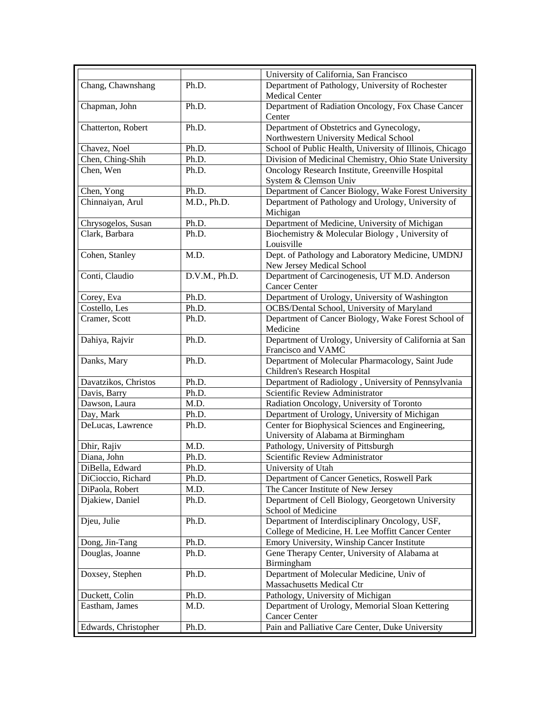|                      |               | University of California, San Francisco                         |
|----------------------|---------------|-----------------------------------------------------------------|
| Chang, Chawnshang    | Ph.D.         | Department of Pathology, University of Rochester                |
|                      |               | <b>Medical Center</b>                                           |
| Chapman, John        | Ph.D.         | Department of Radiation Oncology, Fox Chase Cancer              |
|                      |               | Center                                                          |
| Chatterton, Robert   | Ph.D.         | Department of Obstetrics and Gynecology,                        |
|                      |               | Northwestern University Medical School                          |
| Chavez, Noel         | Ph.D.         | School of Public Health, University of Illinois, Chicago        |
| Chen, Ching-Shih     | Ph.D.         | Division of Medicinal Chemistry, Ohio State University          |
| Chen, Wen            | Ph.D.         | Oncology Research Institute, Greenville Hospital                |
|                      |               | System & Clemson Univ                                           |
| Chen, Yong           | Ph.D.         | Department of Cancer Biology, Wake Forest University            |
| Chinnaiyan, Arul     | M.D., Ph.D.   | Department of Pathology and Urology, University of              |
|                      |               | Michigan                                                        |
| Chrysogelos, Susan   | Ph.D.         | Department of Medicine, University of Michigan                  |
| Clark, Barbara       | Ph.D.         | Biochemistry & Molecular Biology, University of                 |
|                      |               | Louisville                                                      |
| Cohen, Stanley       | M.D.          | Dept. of Pathology and Laboratory Medicine, UMDNJ               |
|                      |               | New Jersey Medical School                                       |
| Conti, Claudio       | D.V.M., Ph.D. | Department of Carcinogenesis, UT M.D. Anderson                  |
|                      |               | <b>Cancer Center</b>                                            |
| Corey, Eva           | Ph.D.         | Department of Urology, University of Washington                 |
| Costello, Les        | Ph.D.         | OCBS/Dental School, University of Maryland                      |
| Cramer, Scott        | Ph.D.         | Department of Cancer Biology, Wake Forest School of<br>Medicine |
| Dahiya, Rajvir       | Ph.D.         | Department of Urology, University of California at San          |
|                      |               | Francisco and VAMC                                              |
| Danks, Mary          | Ph.D.         | Department of Molecular Pharmacology, Saint Jude                |
|                      |               | Children's Research Hospital                                    |
| Davatzikos, Christos | Ph.D.         | Department of Radiology, University of Pennsylvania             |
| Davis, Barry         | Ph.D.         | Scientific Review Administrator                                 |
| Dawson, Laura        | M.D.          | Radiation Oncology, University of Toronto                       |
| Day, Mark            | Ph.D.         | Department of Urology, University of Michigan                   |
| DeLucas, Lawrence    | Ph.D.         | Center for Biophysical Sciences and Engineering,                |
|                      |               | University of Alabama at Birmingham                             |
| Dhir, Rajiv          | M.D.          | Pathology, University of Pittsburgh                             |
| Diana, John          | Ph.D.         | Scientific Review Administrator                                 |
| DiBella, Edward      | Ph.D.         | University of Utah                                              |
| DiCioccio, Richard   | Ph.D.         | Department of Cancer Genetics, Roswell Park                     |
| DiPaola, Robert      | M.D.          | The Cancer Institute of New Jersey                              |
| Djakiew, Daniel      | Ph.D.         | Department of Cell Biology, Georgetown University               |
|                      |               | School of Medicine                                              |
| Djeu, Julie          | Ph.D.         | Department of Interdisciplinary Oncology, USF,                  |
|                      |               | College of Medicine, H. Lee Moffitt Cancer Center               |
| Dong, Jin-Tang       | Ph.D.         | Emory University, Winship Cancer Institute                      |
| Douglas, Joanne      | Ph.D.         | Gene Therapy Center, University of Alabama at<br>Birmingham     |
| Doxsey, Stephen      | Ph.D.         | Department of Molecular Medicine, Univ of                       |
|                      |               | Massachusetts Medical Ctr                                       |
| Duckett, Colin       | Ph.D.         | Pathology, University of Michigan                               |
| Eastham, James       | M.D.          | Department of Urology, Memorial Sloan Kettering                 |
|                      |               | <b>Cancer Center</b>                                            |
| Edwards, Christopher | Ph.D.         | Pain and Palliative Care Center, Duke University                |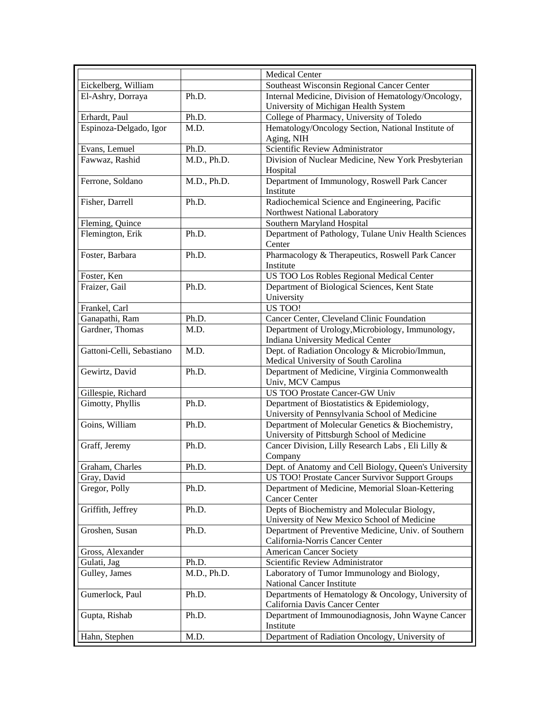|                           |             | <b>Medical Center</b>                                                                 |
|---------------------------|-------------|---------------------------------------------------------------------------------------|
| Eickelberg, William       |             | Southeast Wisconsin Regional Cancer Center                                            |
| El-Ashry, Dorraya         | Ph.D.       | Internal Medicine, Division of Hematology/Oncology,                                   |
|                           |             | University of Michigan Health System                                                  |
| Erhardt, Paul             | Ph.D.       | College of Pharmacy, University of Toledo                                             |
| Espinoza-Delgado, Igor    | M.D.        | Hematology/Oncology Section, National Institute of                                    |
|                           |             | Aging, NIH                                                                            |
| Evans, Lemuel             | Ph.D.       | Scientific Review Administrator                                                       |
| Fawwaz, Rashid            | M.D., Ph.D. | Division of Nuclear Medicine, New York Presbyterian                                   |
|                           |             | Hospital                                                                              |
| Ferrone, Soldano          | M.D., Ph.D. | Department of Immunology, Roswell Park Cancer                                         |
|                           |             | Institute                                                                             |
| Fisher, Darrell           | Ph.D.       | Radiochemical Science and Engineering, Pacific                                        |
|                           |             | Northwest National Laboratory                                                         |
| Fleming, Quince           |             | Southern Maryland Hospital                                                            |
| Flemington, Erik          | Ph.D.       | Department of Pathology, Tulane Univ Health Sciences                                  |
|                           |             | Center                                                                                |
| Foster, Barbara           | Ph.D.       | Pharmacology & Therapeutics, Roswell Park Cancer                                      |
|                           |             | Institute                                                                             |
| Foster, Ken               |             | US TOO Los Robles Regional Medical Center                                             |
| Fraizer, Gail             | Ph.D.       | Department of Biological Sciences, Kent State                                         |
|                           |             | University                                                                            |
| Frankel, Carl             |             | US TOO!                                                                               |
| Ganapathi, Ram            | Ph.D.       | Cancer Center, Cleveland Clinic Foundation                                            |
| Gardner, Thomas           | M.D.        | Department of Urology, Microbiology, Immunology,                                      |
| Gattoni-Celli, Sebastiano | M.D.        | Indiana University Medical Center                                                     |
|                           |             | Dept. of Radiation Oncology & Microbio/Immun,<br>Medical University of South Carolina |
| Gewirtz, David            | Ph.D.       | Department of Medicine, Virginia Commonwealth                                         |
|                           |             | Univ, MCV Campus                                                                      |
| Gillespie, Richard        |             | US TOO Prostate Cancer-GW Univ                                                        |
| Gimotty, Phyllis          | Ph.D.       | Department of Biostatistics & Epidemiology,                                           |
|                           |             | University of Pennsylvania School of Medicine                                         |
| Goins, William            | Ph.D.       | Department of Molecular Genetics & Biochemistry,                                      |
|                           |             | University of Pittsburgh School of Medicine                                           |
| Graff, Jeremy             | Ph.D.       | Cancer Division, Lilly Research Labs, Eli Lilly &                                     |
|                           |             | Company                                                                               |
| Graham, Charles           | Ph.D.       | Dept. of Anatomy and Cell Biology, Queen's University                                 |
| Gray, David               |             | US TOO! Prostate Cancer Survivor Support Groups                                       |
| Gregor, Polly             | Ph.D.       | Department of Medicine, Memorial Sloan-Kettering                                      |
|                           |             | <b>Cancer Center</b>                                                                  |
| Griffith, Jeffrey         | Ph.D.       | Depts of Biochemistry and Molecular Biology,                                          |
|                           |             | University of New Mexico School of Medicine                                           |
| Groshen, Susan            | Ph.D.       | Department of Preventive Medicine, Univ. of Southern                                  |
|                           |             | California-Norris Cancer Center                                                       |
| Gross, Alexander          |             | <b>American Cancer Society</b>                                                        |
| Gulati, Jag               | Ph.D.       | Scientific Review Administrator                                                       |
| Gulley, James             | M.D., Ph.D. | Laboratory of Tumor Immunology and Biology,                                           |
|                           |             | National Cancer Institute                                                             |
| Gumerlock, Paul           | Ph.D.       | Departments of Hematology & Oncology, University of                                   |
|                           |             | California Davis Cancer Center                                                        |
| Gupta, Rishab             | Ph.D.       | Department of Immounodiagnosis, John Wayne Cancer                                     |
|                           |             | Institute                                                                             |
| Hahn, Stephen             | M.D.        | Department of Radiation Oncology, University of                                       |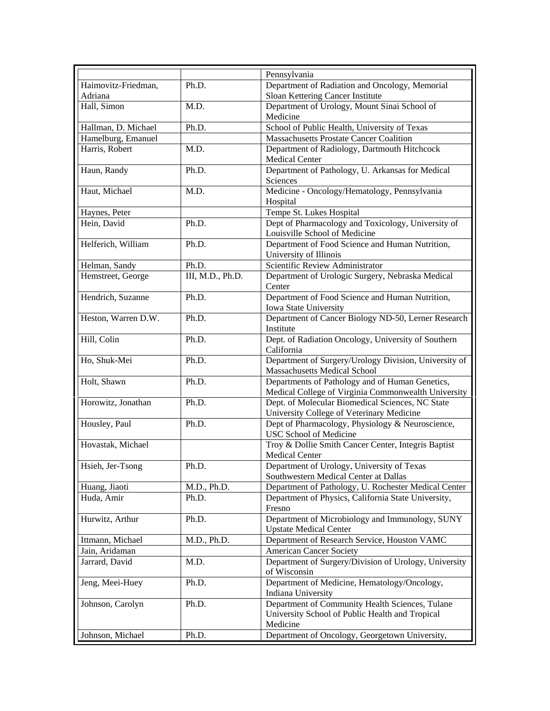|                     |                  | Pennsylvania                                                                                  |
|---------------------|------------------|-----------------------------------------------------------------------------------------------|
| Haimovitz-Friedman, | Ph.D.            | Department of Radiation and Oncology, Memorial                                                |
| Adriana             |                  | Sloan Kettering Cancer Institute                                                              |
| Hall, Simon         | M.D.             | Department of Urology, Mount Sinai School of                                                  |
|                     |                  | Medicine                                                                                      |
| Hallman, D. Michael | Ph.D.            | School of Public Health, University of Texas                                                  |
| Hamelburg, Emanuel  |                  | <b>Massachusetts Prostate Cancer Coalition</b>                                                |
| Harris, Robert      | M.D.             | Department of Radiology, Dartmouth Hitchcock                                                  |
|                     |                  | <b>Medical Center</b>                                                                         |
| Haun, Randy         | Ph.D.            | Department of Pathology, U. Arkansas for Medical                                              |
|                     |                  | Sciences                                                                                      |
| Haut, Michael       | M.D.             | Medicine - Oncology/Hematology, Pennsylvania                                                  |
|                     |                  | Hospital                                                                                      |
| Haynes, Peter       |                  | Tempe St. Lukes Hospital                                                                      |
| Hein, David         | Ph.D.            | Dept of Pharmacology and Toxicology, University of                                            |
|                     |                  | Louisville School of Medicine                                                                 |
| Helferich, William  | Ph.D.            | Department of Food Science and Human Nutrition,                                               |
|                     |                  | University of Illinois                                                                        |
| Helman, Sandy       | Ph.D.            | Scientific Review Administrator                                                               |
| Hemstreet, George   | III, M.D., Ph.D. | Department of Urologic Surgery, Nebraska Medical                                              |
|                     |                  | Center                                                                                        |
| Hendrich, Suzanne   | Ph.D.            | Department of Food Science and Human Nutrition,                                               |
|                     |                  | Iowa State University                                                                         |
| Heston, Warren D.W. | Ph.D.            | Department of Cancer Biology ND-50, Lerner Research                                           |
|                     |                  | Institute                                                                                     |
| Hill, Colin         | Ph.D.            | Dept. of Radiation Oncology, University of Southern                                           |
|                     |                  | California                                                                                    |
| Ho, Shuk-Mei        | Ph.D.            | Department of Surgery/Urology Division, University of                                         |
|                     |                  | Massachusetts Medical School                                                                  |
| Holt, Shawn         | Ph.D.            | Departments of Pathology and of Human Genetics,                                               |
|                     | Ph.D.            | Medical College of Virginia Commonwealth University                                           |
| Horowitz, Jonathan  |                  | Dept. of Molecular Biomedical Sciences, NC State<br>University College of Veterinary Medicine |
| Housley, Paul       | Ph.D.            | Dept of Pharmacology, Physiology & Neuroscience,                                              |
|                     |                  | USC School of Medicine                                                                        |
| Hovastak, Michael   |                  | Troy & Dollie Smith Cancer Center, Integris Baptist                                           |
|                     |                  | Medical Center                                                                                |
| Hsieh, Jer-Tsong    | Ph.D.            | Department of Urology, University of Texas                                                    |
|                     |                  | Southwestern Medical Center at Dallas                                                         |
| Huang, Jiaoti       | M.D., Ph.D.      | Department of Pathology, U. Rochester Medical Center                                          |
| Huda, Amir          | Ph.D.            | Department of Physics, California State University,                                           |
|                     |                  | Fresno                                                                                        |
| Hurwitz, Arthur     | Ph.D.            | Department of Microbiology and Immunology, SUNY                                               |
|                     |                  | <b>Upstate Medical Center</b>                                                                 |
| Ittmann, Michael    | M.D., Ph.D.      | Department of Research Service, Houston VAMC                                                  |
| Jain, Aridaman      |                  | <b>American Cancer Society</b>                                                                |
| Jarrard, David      | M.D.             | Department of Surgery/Division of Urology, University                                         |
|                     |                  | of Wisconsin                                                                                  |
| Jeng, Meei-Huey     | Ph.D.            | Department of Medicine, Hematology/Oncology,                                                  |
|                     |                  | Indiana University                                                                            |
| Johnson, Carolyn    | Ph.D.            | Department of Community Health Sciences, Tulane                                               |
|                     |                  | University School of Public Health and Tropical                                               |
|                     |                  | Medicine                                                                                      |
| Johnson, Michael    | Ph.D.            | Department of Oncology, Georgetown University,                                                |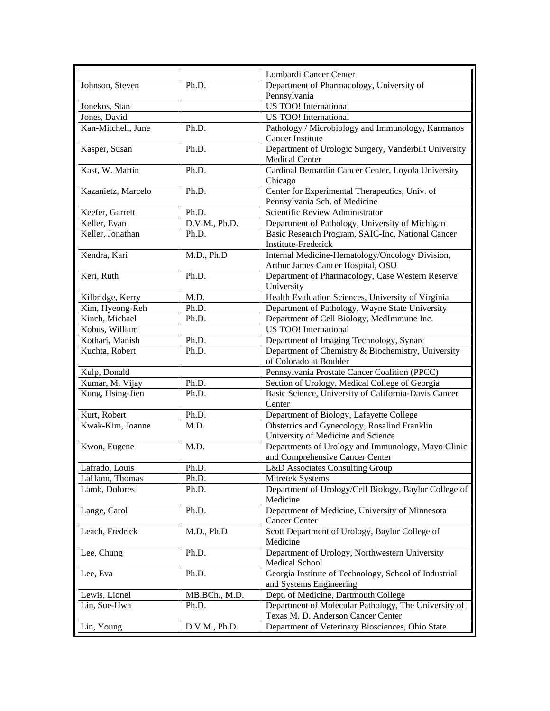|                    |               | Lombardi Cancer Center                                                           |
|--------------------|---------------|----------------------------------------------------------------------------------|
| Johnson, Steven    | Ph.D.         | Department of Pharmacology, University of                                        |
|                    |               | Pennsylvania                                                                     |
| Jonekos, Stan      |               | <b>US TOO!</b> International                                                     |
| Jones, David       |               | US TOO! International                                                            |
| Kan-Mitchell, June | Ph.D.         | Pathology / Microbiology and Immunology, Karmanos                                |
|                    |               | <b>Cancer Institute</b>                                                          |
| Kasper, Susan      | Ph.D.         | Department of Urologic Surgery, Vanderbilt University                            |
|                    |               | <b>Medical Center</b>                                                            |
| Kast, W. Martin    | Ph.D.         | Cardinal Bernardin Cancer Center, Loyola University                              |
|                    |               | Chicago                                                                          |
| Kazanietz, Marcelo | Ph.D.         | Center for Experimental Therapeutics, Univ. of                                   |
|                    |               | Pennsylvania Sch. of Medicine                                                    |
| Keefer, Garrett    | Ph.D.         | Scientific Review Administrator                                                  |
| Keller, Evan       | D.V.M., Ph.D. | Department of Pathology, University of Michigan                                  |
| Keller, Jonathan   | Ph.D.         | Basic Research Program, SAIC-Inc, National Cancer                                |
|                    |               | <b>Institute-Frederick</b>                                                       |
| Kendra, Kari       | M.D., Ph.D    | Internal Medicine-Hematology/Oncology Division,                                  |
|                    |               | Arthur James Cancer Hospital, OSU                                                |
| Keri, Ruth         | Ph.D.         | Department of Pharmacology, Case Western Reserve                                 |
|                    |               | University                                                                       |
| Kilbridge, Kerry   | M.D.          | Health Evaluation Sciences, University of Virginia                               |
| Kim, Hyeong-Reh    | Ph.D.         | Department of Pathology, Wayne State University                                  |
| Kinch, Michael     | Ph.D.         | Department of Cell Biology, MedImmune Inc.                                       |
| Kobus, William     |               | US TOO! International                                                            |
| Kothari, Manish    | Ph.D.         | Department of Imaging Technology, Synarc                                         |
| Kuchta, Robert     | Ph.D.         | Department of Chemistry & Biochemistry, University                               |
|                    |               | of Colorado at Boulder                                                           |
| Kulp, Donald       |               | Pennsylvania Prostate Cancer Coalition (PPCC)                                    |
| Kumar, M. Vijay    | Ph.D.         | Section of Urology, Medical College of Georgia                                   |
| Kung, Hsing-Jien   | Ph.D.         | Basic Science, University of California-Davis Cancer                             |
|                    |               | Center                                                                           |
| Kurt, Robert       | Ph.D.         | Department of Biology, Lafayette College                                         |
| Kwak-Kim, Joanne   | M.D.          | Obstetrics and Gynecology, Rosalind Franklin                                     |
|                    |               | University of Medicine and Science                                               |
| Kwon, Eugene       | M.D.          | Departments of Urology and Immunology, Mayo Clinic                               |
|                    |               | and Comprehensive Cancer Center                                                  |
| Lafrado, Louis     | Ph.D.         | L&D Associates Consulting Group                                                  |
| LaHann, Thomas     | Ph.D.         | Mitretek Systems                                                                 |
| Lamb, Dolores      | Ph.D.         | Department of Urology/Cell Biology, Baylor College of                            |
|                    |               | Medicine                                                                         |
| Lange, Carol       | Ph.D.         | Department of Medicine, University of Minnesota                                  |
|                    |               | <b>Cancer Center</b>                                                             |
| Leach, Fredrick    | M.D., Ph.D    | Scott Department of Urology, Baylor College of                                   |
|                    |               | Medicine                                                                         |
| Lee, Chung         | Ph.D.         | Department of Urology, Northwestern University<br>Medical School                 |
|                    |               |                                                                                  |
| Lee, Eva           | Ph.D.         | Georgia Institute of Technology, School of Industrial<br>and Systems Engineering |
| Lewis, Lionel      | MB.BCh., M.D. | Dept. of Medicine, Dartmouth College                                             |
| Lin, Sue-Hwa       | Ph.D.         | Department of Molecular Pathology, The University of                             |
|                    |               | Texas M. D. Anderson Cancer Center                                               |
| Lin, Young         | D.V.M., Ph.D. | Department of Veterinary Biosciences, Ohio State                                 |
|                    |               |                                                                                  |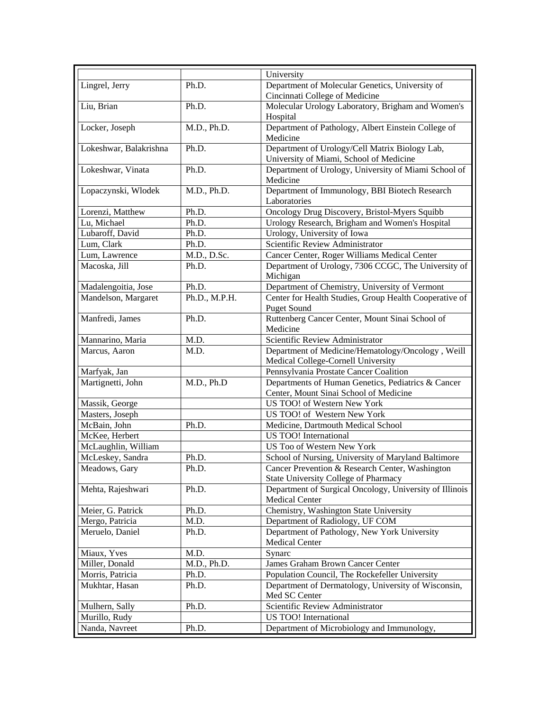| University<br>Lingrel, Jerry<br>Department of Molecular Genetics, University of<br>Ph.D.<br>Cincinnati College of Medicine<br>Ph.D.<br>Molecular Urology Laboratory, Brigham and Women's<br>Liu, Brian |  |
|--------------------------------------------------------------------------------------------------------------------------------------------------------------------------------------------------------|--|
|                                                                                                                                                                                                        |  |
|                                                                                                                                                                                                        |  |
|                                                                                                                                                                                                        |  |
| Hospital                                                                                                                                                                                               |  |
| Department of Pathology, Albert Einstein College of<br>M.D., Ph.D.<br>Locker, Joseph                                                                                                                   |  |
| Medicine                                                                                                                                                                                               |  |
| Department of Urology/Cell Matrix Biology Lab,<br>Lokeshwar, Balakrishna<br>Ph.D.                                                                                                                      |  |
| University of Miami, School of Medicine                                                                                                                                                                |  |
| Lokeshwar, Vinata<br>Ph.D.<br>Department of Urology, University of Miami School of                                                                                                                     |  |
| Medicine                                                                                                                                                                                               |  |
| Department of Immunology, BBI Biotech Research<br>M.D., Ph.D.<br>Lopaczynski, Włodek<br>Laboratories                                                                                                   |  |
| Oncology Drug Discovery, Bristol-Myers Squibb<br>Lorenzi, Matthew<br>Ph.D.                                                                                                                             |  |
| Lu, Michael<br>Ph.D.<br>Urology Research, Brigham and Women's Hospital                                                                                                                                 |  |
| Lubaroff, David<br>Urology, University of Iowa<br>Ph.D.                                                                                                                                                |  |
| Scientific Review Administrator<br>Lum, Clark<br>Ph.D.                                                                                                                                                 |  |
| M.D., D.Sc.<br>Cancer Center, Roger Williams Medical Center<br>Lum, Lawrence                                                                                                                           |  |
| Department of Urology, 7306 CCGC, The University of<br>Macoska, Jill<br>Ph.D.                                                                                                                          |  |
| Michigan                                                                                                                                                                                               |  |
| Department of Chemistry, University of Vermont<br>Madalengoitia, Jose<br>Ph.D.                                                                                                                         |  |
| Ph.D., M.P.H.<br>Mandelson, Margaret<br>Center for Health Studies, Group Health Cooperative of                                                                                                         |  |
| <b>Puget Sound</b>                                                                                                                                                                                     |  |
| Ruttenberg Cancer Center, Mount Sinai School of<br>Manfredi, James<br>Ph.D.                                                                                                                            |  |
| Medicine                                                                                                                                                                                               |  |
| Scientific Review Administrator<br>Mannarino, Maria<br>M.D.                                                                                                                                            |  |
| Department of Medicine/Hematology/Oncology, Weill<br>Marcus, Aaron<br>M.D.                                                                                                                             |  |
| Medical College-Cornell University                                                                                                                                                                     |  |
| Pennsylvania Prostate Cancer Coalition<br>Marfyak, Jan                                                                                                                                                 |  |
| M.D., Ph.D<br>Martignetti, John<br>Departments of Human Genetics, Pediatrics & Cancer                                                                                                                  |  |
| Center, Mount Sinai School of Medicine                                                                                                                                                                 |  |
| Massik, George<br>US TOO! of Western New York                                                                                                                                                          |  |
| US TOO! of Western New York<br>Masters, Joseph                                                                                                                                                         |  |
| McBain, John<br>Medicine, Dartmouth Medical School<br>Ph.D.                                                                                                                                            |  |
| McKee, Herbert<br>US TOO! International                                                                                                                                                                |  |
| US Too of Western New York<br>McLaughlin, William                                                                                                                                                      |  |
| School of Nursing, University of Maryland Baltimore<br>McLeskey, Sandra<br>Ph.D.                                                                                                                       |  |
| Cancer Prevention & Research Center, Washington<br>Ph.D.<br>Meadows, Gary                                                                                                                              |  |
| <b>State University College of Pharmacy</b>                                                                                                                                                            |  |
| Mehta, Rajeshwari<br>Department of Surgical Oncology, University of Illinois<br>Ph.D.                                                                                                                  |  |
| <b>Medical Center</b>                                                                                                                                                                                  |  |
| Chemistry, Washington State University<br>Meier, G. Patrick<br>Ph.D.                                                                                                                                   |  |
| Mergo, Patricia<br>Department of Radiology, UF COM<br>M.D.                                                                                                                                             |  |
| Department of Pathology, New York University<br>Meruelo, Daniel<br>Ph.D.<br><b>Medical Center</b>                                                                                                      |  |
| Miaux, Yves<br>M.D.<br>Synarc                                                                                                                                                                          |  |
| Miller, Donald<br>M.D., Ph.D.<br>James Graham Brown Cancer Center                                                                                                                                      |  |
| Morris, Patricia<br>Population Council, The Rockefeller University<br>Ph.D.                                                                                                                            |  |
| Mukhtar, Hasan<br>Ph.D.<br>Department of Dermatology, University of Wisconsin,                                                                                                                         |  |
| Med SC Center                                                                                                                                                                                          |  |
| Scientific Review Administrator<br>Mulhern, Sally<br>Ph.D.                                                                                                                                             |  |
| Murillo, Rudy<br>US TOO! International                                                                                                                                                                 |  |
| Nanda, Navreet<br>Department of Microbiology and Immunology,<br>Ph.D.                                                                                                                                  |  |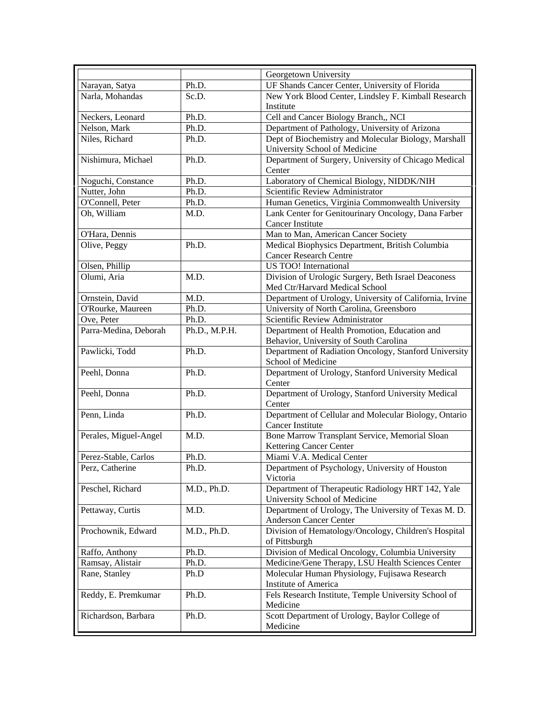|                       |               | Georgetown University                                   |
|-----------------------|---------------|---------------------------------------------------------|
| Narayan, Satya        | Ph.D.         | UF Shands Cancer Center, University of Florida          |
| Narla, Mohandas       | Sc.D.         | New York Blood Center, Lindsley F. Kimball Research     |
|                       |               | Institute                                               |
| Neckers, Leonard      | Ph.D.         | Cell and Cancer Biology Branch,, NCI                    |
| Nelson, Mark          | Ph.D.         | Department of Pathology, University of Arizona          |
| Niles, Richard        | Ph.D.         | Dept of Biochemistry and Molecular Biology, Marshall    |
|                       |               | University School of Medicine                           |
| Nishimura, Michael    | Ph.D.         | Department of Surgery, University of Chicago Medical    |
|                       |               | Center                                                  |
| Noguchi, Constance    | Ph.D.         | Laboratory of Chemical Biology, NIDDK/NIH               |
| Nutter, John          | Ph.D.         | Scientific Review Administrator                         |
| O'Connell, Peter      | Ph.D.         | Human Genetics, Virginia Commonwealth University        |
| Oh, William           | M.D.          | Lank Center for Genitourinary Oncology, Dana Farber     |
|                       |               | <b>Cancer Institute</b>                                 |
| O'Hara, Dennis        |               | Man to Man, American Cancer Society                     |
| Olive, Peggy          | Ph.D.         | Medical Biophysics Department, British Columbia         |
|                       |               | <b>Cancer Research Centre</b>                           |
| Olsen, Phillip        |               | US TOO! International                                   |
| Olumi, Aria           | M.D.          | Division of Urologic Surgery, Beth Israel Deaconess     |
|                       |               | Med Ctr/Harvard Medical School                          |
| Ornstein, David       | M.D.          | Department of Urology, University of California, Irvine |
| O'Rourke, Maureen     | Ph.D.         | University of North Carolina, Greensboro                |
| Ove, Peter            | Ph.D.         | Scientific Review Administrator                         |
| Parra-Medina, Deborah | Ph.D., M.P.H. | Department of Health Promotion, Education and           |
|                       |               | Behavior, University of South Carolina                  |
| Pawlicki, Todd        | Ph.D.         | Department of Radiation Oncology, Stanford University   |
|                       |               | School of Medicine                                      |
| Peehl, Donna          | Ph.D.         | Department of Urology, Stanford University Medical      |
|                       |               | Center                                                  |
| Peehl, Donna          | Ph.D.         | Department of Urology, Stanford University Medical      |
|                       |               | Center                                                  |
| Penn, Linda           | Ph.D.         | Department of Cellular and Molecular Biology, Ontario   |
|                       |               | <b>Cancer Institute</b>                                 |
| Perales, Miguel-Angel | M.D.          | Bone Marrow Transplant Service, Memorial Sloan          |
|                       |               | Kettering Cancer Center                                 |
| Perez-Stable, Carlos  | Ph.D.         | Miami V.A. Medical Center                               |
| Perz, Catherine       | Ph.D.         | Department of Psychology, University of Houston         |
|                       |               | Victoria                                                |
| Peschel, Richard      | M.D., Ph.D.   | Department of Therapeutic Radiology HRT 142, Yale       |
|                       |               | University School of Medicine                           |
| Pettaway, Curtis      | M.D.          | Department of Urology, The University of Texas M. D.    |
|                       |               | <b>Anderson Cancer Center</b>                           |
| Prochownik, Edward    | M.D., Ph.D.   | Division of Hematology/Oncology, Children's Hospital    |
|                       |               | of Pittsburgh                                           |
| Raffo, Anthony        | Ph.D.         | Division of Medical Oncology, Columbia University       |
| Ramsay, Alistair      | Ph.D.         | Medicine/Gene Therapy, LSU Health Sciences Center       |
| Rane, Stanley         | Ph.D          | Molecular Human Physiology, Fujisawa Research           |
|                       |               | <b>Institute of America</b>                             |
| Reddy, E. Premkumar   | Ph.D.         | Fels Research Institute, Temple University School of    |
|                       |               | Medicine                                                |
| Richardson, Barbara   | Ph.D.         | Scott Department of Urology, Baylor College of          |
|                       |               | Medicine                                                |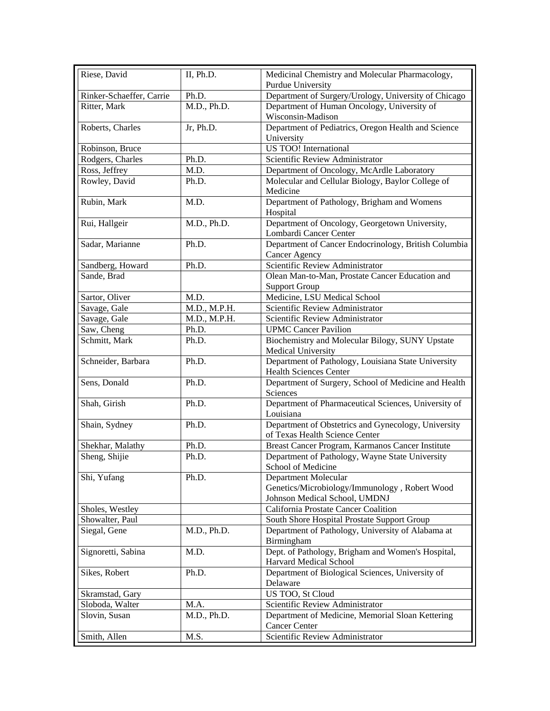| Riese, David             | II, Ph.D.    | Medicinal Chemistry and Molecular Pharmacology,                                       |
|--------------------------|--------------|---------------------------------------------------------------------------------------|
|                          | Ph.D.        | <b>Purdue University</b>                                                              |
| Rinker-Schaeffer, Carrie |              | Department of Surgery/Urology, University of Chicago                                  |
| Ritter, Mark             | M.D., Ph.D.  | Department of Human Oncology, University of<br>Wisconsin-Madison                      |
| Roberts, Charles         | Jr, Ph.D.    | Department of Pediatrics, Oregon Health and Science<br>University                     |
| Robinson, Bruce          |              | US TOO! International                                                                 |
| Rodgers, Charles         | Ph.D.        | Scientific Review Administrator                                                       |
| Ross, Jeffrey            | M.D.         | Department of Oncology, McArdle Laboratory                                            |
| Rowley, David            | Ph.D.        | Molecular and Cellular Biology, Baylor College of<br>Medicine                         |
| Rubin, Mark              | M.D.         | Department of Pathology, Brigham and Womens<br>Hospital                               |
| Rui, Hallgeir            | M.D., Ph.D.  | Department of Oncology, Georgetown University,<br>Lombardi Cancer Center              |
| Sadar, Marianne          | Ph.D.        | Department of Cancer Endocrinology, British Columbia                                  |
|                          |              | <b>Cancer Agency</b>                                                                  |
| Sandberg, Howard         | Ph.D.        | Scientific Review Administrator                                                       |
| Sande, Brad              |              | Olean Man-to-Man, Prostate Cancer Education and                                       |
|                          |              | <b>Support Group</b>                                                                  |
| Sartor, Oliver           | M.D.         | Medicine, LSU Medical School                                                          |
| Savage, Gale             | M.D., M.P.H. | Scientific Review Administrator                                                       |
| Savage, Gale             | M.D., M.P.H. | Scientific Review Administrator                                                       |
| Saw, Cheng               | Ph.D.        | <b>UPMC</b> Cancer Pavilion                                                           |
| Schmitt, Mark            | Ph.D.        | Biochemistry and Molecular Bilogy, SUNY Upstate                                       |
|                          |              | Medical University                                                                    |
| Schneider, Barbara       | Ph.D.        | Department of Pathology, Louisiana State University<br>Health Sciences Center         |
| Sens, Donald             | Ph.D.        | Department of Surgery, School of Medicine and Health<br>Sciences                      |
| Shah, Girish             | Ph.D.        | Department of Pharmaceutical Sciences, University of<br>Louisiana                     |
| Shain, Sydney            | Ph.D.        | Department of Obstetrics and Gynecology, University<br>of Texas Health Science Center |
| Shekhar, Malathy         | Ph.D.        | Breast Cancer Program, Karmanos Cancer Institute                                      |
| Sheng, Shijie            | Ph.D.        | Department of Pathology, Wayne State University                                       |
|                          |              | School of Medicine                                                                    |
| Shi, Yufang              | Ph.D.        | Department Molecular                                                                  |
|                          |              | Genetics/Microbiology/Immunology, Robert Wood                                         |
|                          |              | Johnson Medical School, UMDNJ                                                         |
| Sholes, Westley          |              | California Prostate Cancer Coalition                                                  |
| Showalter, Paul          |              | South Shore Hospital Prostate Support Group                                           |
| Siegal, Gene             | M.D., Ph.D.  | Department of Pathology, University of Alabama at<br>Birmingham                       |
| Signoretti, Sabina       | M.D.         | Dept. of Pathology, Brigham and Women's Hospital,<br>Harvard Medical School           |
| Sikes, Robert            | Ph.D.        | Department of Biological Sciences, University of<br>Delaware                          |
| Skramstad, Gary          |              | US TOO, St Cloud                                                                      |
| Sloboda, Walter          | M.A.         | Scientific Review Administrator                                                       |
| Slovin, Susan            | M.D., Ph.D.  | Department of Medicine, Memorial Sloan Kettering                                      |
|                          |              | <b>Cancer Center</b>                                                                  |
| Smith, Allen             | M.S.         | Scientific Review Administrator                                                       |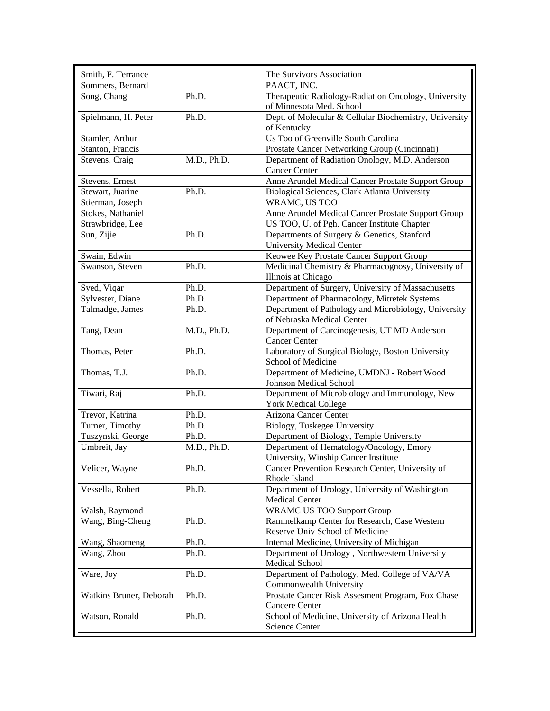| PAACT, INC.<br>Sommers, Bernard<br>Ph.D.<br>Therapeutic Radiology-Radiation Oncology, University<br>Song, Chang<br>of Minnesota Med. School<br>Spielmann, H. Peter<br>Dept. of Molecular & Cellular Biochemistry, University<br>Ph.D.<br>of Kentucky<br>Us Too of Greenville South Carolina<br>Stamler, Arthur<br>Stanton, Francis<br>Prostate Cancer Networking Group (Cincinnati)<br>M.D., Ph.D.<br>Department of Radiation Onology, M.D. Anderson<br>Stevens, Craig<br><b>Cancer Center</b><br>Anne Arundel Medical Cancer Prostate Support Group<br>Stevens, Ernest<br>Stewart, Juarine<br>Ph.D.<br>Biological Sciences, Clark Atlanta University<br>WRAMC, US TOO<br>Stierman, Joseph<br>Stokes, Nathaniel<br>Anne Arundel Medical Cancer Prostate Support Group<br>Strawbridge, Lee<br>US TOO, U. of Pgh. Cancer Institute Chapter<br>Ph.D.<br>Sun, Zijie<br>Departments of Surgery & Genetics, Stanford<br><b>University Medical Center</b><br>Keowee Key Prostate Cancer Support Group<br>Swain, Edwin<br>Swanson, Steven<br>Ph.D.<br>Medicinal Chemistry & Pharmacognosy, University of<br>Illinois at Chicago<br>Department of Surgery, University of Massachusetts<br>Ph.D.<br>Syed, Viqar<br>Sylvester, Diane<br>Department of Pharmacology, Mitretek Systems<br>Ph.D.<br>Department of Pathology and Microbiology, University<br>Talmadge, James<br>Ph.D.<br>of Nebraska Medical Center<br>Tang, Dean<br>M.D., Ph.D.<br>Department of Carcinogenesis, UT MD Anderson<br><b>Cancer Center</b><br>Laboratory of Surgical Biology, Boston University<br>Thomas, Peter<br>Ph.D.<br>School of Medicine<br>Thomas, T.J.<br>Ph.D.<br>Department of Medicine, UMDNJ - Robert Wood<br>Johnson Medical School<br>Tiwari, Raj<br>Department of Microbiology and Immunology, New<br>Ph.D.<br><b>York Medical College</b><br>Trevor, Katrina<br>Ph.D.<br>Arizona Cancer Center<br>Turner, Timothy<br>Ph.D.<br>Biology, Tuskegee University<br>Tuszynski, George<br>Ph.D.<br>Department of Biology, Temple University<br>Umbreit, Jay<br>M.D., Ph.D.<br>Department of Hematology/Oncology, Emory<br>University, Winship Cancer Institute<br>Cancer Prevention Research Center, University of<br>Velicer, Wayne<br>Ph.D.<br>Rhode Island<br>Department of Urology, University of Washington<br>Vessella, Robert<br>Ph.D.<br><b>Medical Center</b><br><b>WRAMC US TOO Support Group</b><br>Walsh, Raymond<br>Wang, Bing-Cheng<br>Ph.D.<br>Rammelkamp Center for Research, Case Western<br>Reserve Univ School of Medicine<br>Internal Medicine, University of Michigan<br>Wang, Shaomeng<br>Ph.D.<br>Wang, Zhou<br>Ph.D.<br>Department of Urology, Northwestern University<br>Medical School<br>Department of Pathology, Med. College of VA/VA<br>Ware, Joy<br>Ph.D.<br>Commonwealth University<br>Prostate Cancer Risk Assesment Program, Fox Chase<br>Watkins Bruner, Deborah<br>Ph.D.<br><b>Cancere Center</b><br>Watson, Ronald<br>Ph.D.<br>School of Medicine, University of Arizona Health<br>Science Center | Smith, F. Terrance | The Survivors Association |
|-----------------------------------------------------------------------------------------------------------------------------------------------------------------------------------------------------------------------------------------------------------------------------------------------------------------------------------------------------------------------------------------------------------------------------------------------------------------------------------------------------------------------------------------------------------------------------------------------------------------------------------------------------------------------------------------------------------------------------------------------------------------------------------------------------------------------------------------------------------------------------------------------------------------------------------------------------------------------------------------------------------------------------------------------------------------------------------------------------------------------------------------------------------------------------------------------------------------------------------------------------------------------------------------------------------------------------------------------------------------------------------------------------------------------------------------------------------------------------------------------------------------------------------------------------------------------------------------------------------------------------------------------------------------------------------------------------------------------------------------------------------------------------------------------------------------------------------------------------------------------------------------------------------------------------------------------------------------------------------------------------------------------------------------------------------------------------------------------------------------------------------------------------------------------------------------------------------------------------------------------------------------------------------------------------------------------------------------------------------------------------------------------------------------------------------------------------------------------------------------------------------------------------------------------------------------------------------------------------------------------------------------------------------------------------------------------------------------------------------------------------------------------------------------------------------------------------------------------------------------------------------------------------------------------------------------------------------------------------------------------------------------|--------------------|---------------------------|
|                                                                                                                                                                                                                                                                                                                                                                                                                                                                                                                                                                                                                                                                                                                                                                                                                                                                                                                                                                                                                                                                                                                                                                                                                                                                                                                                                                                                                                                                                                                                                                                                                                                                                                                                                                                                                                                                                                                                                                                                                                                                                                                                                                                                                                                                                                                                                                                                                                                                                                                                                                                                                                                                                                                                                                                                                                                                                                                                                                                                                 |                    |                           |
|                                                                                                                                                                                                                                                                                                                                                                                                                                                                                                                                                                                                                                                                                                                                                                                                                                                                                                                                                                                                                                                                                                                                                                                                                                                                                                                                                                                                                                                                                                                                                                                                                                                                                                                                                                                                                                                                                                                                                                                                                                                                                                                                                                                                                                                                                                                                                                                                                                                                                                                                                                                                                                                                                                                                                                                                                                                                                                                                                                                                                 |                    |                           |
|                                                                                                                                                                                                                                                                                                                                                                                                                                                                                                                                                                                                                                                                                                                                                                                                                                                                                                                                                                                                                                                                                                                                                                                                                                                                                                                                                                                                                                                                                                                                                                                                                                                                                                                                                                                                                                                                                                                                                                                                                                                                                                                                                                                                                                                                                                                                                                                                                                                                                                                                                                                                                                                                                                                                                                                                                                                                                                                                                                                                                 |                    |                           |
|                                                                                                                                                                                                                                                                                                                                                                                                                                                                                                                                                                                                                                                                                                                                                                                                                                                                                                                                                                                                                                                                                                                                                                                                                                                                                                                                                                                                                                                                                                                                                                                                                                                                                                                                                                                                                                                                                                                                                                                                                                                                                                                                                                                                                                                                                                                                                                                                                                                                                                                                                                                                                                                                                                                                                                                                                                                                                                                                                                                                                 |                    |                           |
|                                                                                                                                                                                                                                                                                                                                                                                                                                                                                                                                                                                                                                                                                                                                                                                                                                                                                                                                                                                                                                                                                                                                                                                                                                                                                                                                                                                                                                                                                                                                                                                                                                                                                                                                                                                                                                                                                                                                                                                                                                                                                                                                                                                                                                                                                                                                                                                                                                                                                                                                                                                                                                                                                                                                                                                                                                                                                                                                                                                                                 |                    |                           |
|                                                                                                                                                                                                                                                                                                                                                                                                                                                                                                                                                                                                                                                                                                                                                                                                                                                                                                                                                                                                                                                                                                                                                                                                                                                                                                                                                                                                                                                                                                                                                                                                                                                                                                                                                                                                                                                                                                                                                                                                                                                                                                                                                                                                                                                                                                                                                                                                                                                                                                                                                                                                                                                                                                                                                                                                                                                                                                                                                                                                                 |                    |                           |
|                                                                                                                                                                                                                                                                                                                                                                                                                                                                                                                                                                                                                                                                                                                                                                                                                                                                                                                                                                                                                                                                                                                                                                                                                                                                                                                                                                                                                                                                                                                                                                                                                                                                                                                                                                                                                                                                                                                                                                                                                                                                                                                                                                                                                                                                                                                                                                                                                                                                                                                                                                                                                                                                                                                                                                                                                                                                                                                                                                                                                 |                    |                           |
|                                                                                                                                                                                                                                                                                                                                                                                                                                                                                                                                                                                                                                                                                                                                                                                                                                                                                                                                                                                                                                                                                                                                                                                                                                                                                                                                                                                                                                                                                                                                                                                                                                                                                                                                                                                                                                                                                                                                                                                                                                                                                                                                                                                                                                                                                                                                                                                                                                                                                                                                                                                                                                                                                                                                                                                                                                                                                                                                                                                                                 |                    |                           |
|                                                                                                                                                                                                                                                                                                                                                                                                                                                                                                                                                                                                                                                                                                                                                                                                                                                                                                                                                                                                                                                                                                                                                                                                                                                                                                                                                                                                                                                                                                                                                                                                                                                                                                                                                                                                                                                                                                                                                                                                                                                                                                                                                                                                                                                                                                                                                                                                                                                                                                                                                                                                                                                                                                                                                                                                                                                                                                                                                                                                                 |                    |                           |
|                                                                                                                                                                                                                                                                                                                                                                                                                                                                                                                                                                                                                                                                                                                                                                                                                                                                                                                                                                                                                                                                                                                                                                                                                                                                                                                                                                                                                                                                                                                                                                                                                                                                                                                                                                                                                                                                                                                                                                                                                                                                                                                                                                                                                                                                                                                                                                                                                                                                                                                                                                                                                                                                                                                                                                                                                                                                                                                                                                                                                 |                    |                           |
|                                                                                                                                                                                                                                                                                                                                                                                                                                                                                                                                                                                                                                                                                                                                                                                                                                                                                                                                                                                                                                                                                                                                                                                                                                                                                                                                                                                                                                                                                                                                                                                                                                                                                                                                                                                                                                                                                                                                                                                                                                                                                                                                                                                                                                                                                                                                                                                                                                                                                                                                                                                                                                                                                                                                                                                                                                                                                                                                                                                                                 |                    |                           |
|                                                                                                                                                                                                                                                                                                                                                                                                                                                                                                                                                                                                                                                                                                                                                                                                                                                                                                                                                                                                                                                                                                                                                                                                                                                                                                                                                                                                                                                                                                                                                                                                                                                                                                                                                                                                                                                                                                                                                                                                                                                                                                                                                                                                                                                                                                                                                                                                                                                                                                                                                                                                                                                                                                                                                                                                                                                                                                                                                                                                                 |                    |                           |
|                                                                                                                                                                                                                                                                                                                                                                                                                                                                                                                                                                                                                                                                                                                                                                                                                                                                                                                                                                                                                                                                                                                                                                                                                                                                                                                                                                                                                                                                                                                                                                                                                                                                                                                                                                                                                                                                                                                                                                                                                                                                                                                                                                                                                                                                                                                                                                                                                                                                                                                                                                                                                                                                                                                                                                                                                                                                                                                                                                                                                 |                    |                           |
|                                                                                                                                                                                                                                                                                                                                                                                                                                                                                                                                                                                                                                                                                                                                                                                                                                                                                                                                                                                                                                                                                                                                                                                                                                                                                                                                                                                                                                                                                                                                                                                                                                                                                                                                                                                                                                                                                                                                                                                                                                                                                                                                                                                                                                                                                                                                                                                                                                                                                                                                                                                                                                                                                                                                                                                                                                                                                                                                                                                                                 |                    |                           |
|                                                                                                                                                                                                                                                                                                                                                                                                                                                                                                                                                                                                                                                                                                                                                                                                                                                                                                                                                                                                                                                                                                                                                                                                                                                                                                                                                                                                                                                                                                                                                                                                                                                                                                                                                                                                                                                                                                                                                                                                                                                                                                                                                                                                                                                                                                                                                                                                                                                                                                                                                                                                                                                                                                                                                                                                                                                                                                                                                                                                                 |                    |                           |
|                                                                                                                                                                                                                                                                                                                                                                                                                                                                                                                                                                                                                                                                                                                                                                                                                                                                                                                                                                                                                                                                                                                                                                                                                                                                                                                                                                                                                                                                                                                                                                                                                                                                                                                                                                                                                                                                                                                                                                                                                                                                                                                                                                                                                                                                                                                                                                                                                                                                                                                                                                                                                                                                                                                                                                                                                                                                                                                                                                                                                 |                    |                           |
|                                                                                                                                                                                                                                                                                                                                                                                                                                                                                                                                                                                                                                                                                                                                                                                                                                                                                                                                                                                                                                                                                                                                                                                                                                                                                                                                                                                                                                                                                                                                                                                                                                                                                                                                                                                                                                                                                                                                                                                                                                                                                                                                                                                                                                                                                                                                                                                                                                                                                                                                                                                                                                                                                                                                                                                                                                                                                                                                                                                                                 |                    |                           |
|                                                                                                                                                                                                                                                                                                                                                                                                                                                                                                                                                                                                                                                                                                                                                                                                                                                                                                                                                                                                                                                                                                                                                                                                                                                                                                                                                                                                                                                                                                                                                                                                                                                                                                                                                                                                                                                                                                                                                                                                                                                                                                                                                                                                                                                                                                                                                                                                                                                                                                                                                                                                                                                                                                                                                                                                                                                                                                                                                                                                                 |                    |                           |
|                                                                                                                                                                                                                                                                                                                                                                                                                                                                                                                                                                                                                                                                                                                                                                                                                                                                                                                                                                                                                                                                                                                                                                                                                                                                                                                                                                                                                                                                                                                                                                                                                                                                                                                                                                                                                                                                                                                                                                                                                                                                                                                                                                                                                                                                                                                                                                                                                                                                                                                                                                                                                                                                                                                                                                                                                                                                                                                                                                                                                 |                    |                           |
|                                                                                                                                                                                                                                                                                                                                                                                                                                                                                                                                                                                                                                                                                                                                                                                                                                                                                                                                                                                                                                                                                                                                                                                                                                                                                                                                                                                                                                                                                                                                                                                                                                                                                                                                                                                                                                                                                                                                                                                                                                                                                                                                                                                                                                                                                                                                                                                                                                                                                                                                                                                                                                                                                                                                                                                                                                                                                                                                                                                                                 |                    |                           |
|                                                                                                                                                                                                                                                                                                                                                                                                                                                                                                                                                                                                                                                                                                                                                                                                                                                                                                                                                                                                                                                                                                                                                                                                                                                                                                                                                                                                                                                                                                                                                                                                                                                                                                                                                                                                                                                                                                                                                                                                                                                                                                                                                                                                                                                                                                                                                                                                                                                                                                                                                                                                                                                                                                                                                                                                                                                                                                                                                                                                                 |                    |                           |
|                                                                                                                                                                                                                                                                                                                                                                                                                                                                                                                                                                                                                                                                                                                                                                                                                                                                                                                                                                                                                                                                                                                                                                                                                                                                                                                                                                                                                                                                                                                                                                                                                                                                                                                                                                                                                                                                                                                                                                                                                                                                                                                                                                                                                                                                                                                                                                                                                                                                                                                                                                                                                                                                                                                                                                                                                                                                                                                                                                                                                 |                    |                           |
|                                                                                                                                                                                                                                                                                                                                                                                                                                                                                                                                                                                                                                                                                                                                                                                                                                                                                                                                                                                                                                                                                                                                                                                                                                                                                                                                                                                                                                                                                                                                                                                                                                                                                                                                                                                                                                                                                                                                                                                                                                                                                                                                                                                                                                                                                                                                                                                                                                                                                                                                                                                                                                                                                                                                                                                                                                                                                                                                                                                                                 |                    |                           |
|                                                                                                                                                                                                                                                                                                                                                                                                                                                                                                                                                                                                                                                                                                                                                                                                                                                                                                                                                                                                                                                                                                                                                                                                                                                                                                                                                                                                                                                                                                                                                                                                                                                                                                                                                                                                                                                                                                                                                                                                                                                                                                                                                                                                                                                                                                                                                                                                                                                                                                                                                                                                                                                                                                                                                                                                                                                                                                                                                                                                                 |                    |                           |
|                                                                                                                                                                                                                                                                                                                                                                                                                                                                                                                                                                                                                                                                                                                                                                                                                                                                                                                                                                                                                                                                                                                                                                                                                                                                                                                                                                                                                                                                                                                                                                                                                                                                                                                                                                                                                                                                                                                                                                                                                                                                                                                                                                                                                                                                                                                                                                                                                                                                                                                                                                                                                                                                                                                                                                                                                                                                                                                                                                                                                 |                    |                           |
|                                                                                                                                                                                                                                                                                                                                                                                                                                                                                                                                                                                                                                                                                                                                                                                                                                                                                                                                                                                                                                                                                                                                                                                                                                                                                                                                                                                                                                                                                                                                                                                                                                                                                                                                                                                                                                                                                                                                                                                                                                                                                                                                                                                                                                                                                                                                                                                                                                                                                                                                                                                                                                                                                                                                                                                                                                                                                                                                                                                                                 |                    |                           |
|                                                                                                                                                                                                                                                                                                                                                                                                                                                                                                                                                                                                                                                                                                                                                                                                                                                                                                                                                                                                                                                                                                                                                                                                                                                                                                                                                                                                                                                                                                                                                                                                                                                                                                                                                                                                                                                                                                                                                                                                                                                                                                                                                                                                                                                                                                                                                                                                                                                                                                                                                                                                                                                                                                                                                                                                                                                                                                                                                                                                                 |                    |                           |
|                                                                                                                                                                                                                                                                                                                                                                                                                                                                                                                                                                                                                                                                                                                                                                                                                                                                                                                                                                                                                                                                                                                                                                                                                                                                                                                                                                                                                                                                                                                                                                                                                                                                                                                                                                                                                                                                                                                                                                                                                                                                                                                                                                                                                                                                                                                                                                                                                                                                                                                                                                                                                                                                                                                                                                                                                                                                                                                                                                                                                 |                    |                           |
|                                                                                                                                                                                                                                                                                                                                                                                                                                                                                                                                                                                                                                                                                                                                                                                                                                                                                                                                                                                                                                                                                                                                                                                                                                                                                                                                                                                                                                                                                                                                                                                                                                                                                                                                                                                                                                                                                                                                                                                                                                                                                                                                                                                                                                                                                                                                                                                                                                                                                                                                                                                                                                                                                                                                                                                                                                                                                                                                                                                                                 |                    |                           |
|                                                                                                                                                                                                                                                                                                                                                                                                                                                                                                                                                                                                                                                                                                                                                                                                                                                                                                                                                                                                                                                                                                                                                                                                                                                                                                                                                                                                                                                                                                                                                                                                                                                                                                                                                                                                                                                                                                                                                                                                                                                                                                                                                                                                                                                                                                                                                                                                                                                                                                                                                                                                                                                                                                                                                                                                                                                                                                                                                                                                                 |                    |                           |
|                                                                                                                                                                                                                                                                                                                                                                                                                                                                                                                                                                                                                                                                                                                                                                                                                                                                                                                                                                                                                                                                                                                                                                                                                                                                                                                                                                                                                                                                                                                                                                                                                                                                                                                                                                                                                                                                                                                                                                                                                                                                                                                                                                                                                                                                                                                                                                                                                                                                                                                                                                                                                                                                                                                                                                                                                                                                                                                                                                                                                 |                    |                           |
|                                                                                                                                                                                                                                                                                                                                                                                                                                                                                                                                                                                                                                                                                                                                                                                                                                                                                                                                                                                                                                                                                                                                                                                                                                                                                                                                                                                                                                                                                                                                                                                                                                                                                                                                                                                                                                                                                                                                                                                                                                                                                                                                                                                                                                                                                                                                                                                                                                                                                                                                                                                                                                                                                                                                                                                                                                                                                                                                                                                                                 |                    |                           |
|                                                                                                                                                                                                                                                                                                                                                                                                                                                                                                                                                                                                                                                                                                                                                                                                                                                                                                                                                                                                                                                                                                                                                                                                                                                                                                                                                                                                                                                                                                                                                                                                                                                                                                                                                                                                                                                                                                                                                                                                                                                                                                                                                                                                                                                                                                                                                                                                                                                                                                                                                                                                                                                                                                                                                                                                                                                                                                                                                                                                                 |                    |                           |
|                                                                                                                                                                                                                                                                                                                                                                                                                                                                                                                                                                                                                                                                                                                                                                                                                                                                                                                                                                                                                                                                                                                                                                                                                                                                                                                                                                                                                                                                                                                                                                                                                                                                                                                                                                                                                                                                                                                                                                                                                                                                                                                                                                                                                                                                                                                                                                                                                                                                                                                                                                                                                                                                                                                                                                                                                                                                                                                                                                                                                 |                    |                           |
|                                                                                                                                                                                                                                                                                                                                                                                                                                                                                                                                                                                                                                                                                                                                                                                                                                                                                                                                                                                                                                                                                                                                                                                                                                                                                                                                                                                                                                                                                                                                                                                                                                                                                                                                                                                                                                                                                                                                                                                                                                                                                                                                                                                                                                                                                                                                                                                                                                                                                                                                                                                                                                                                                                                                                                                                                                                                                                                                                                                                                 |                    |                           |
|                                                                                                                                                                                                                                                                                                                                                                                                                                                                                                                                                                                                                                                                                                                                                                                                                                                                                                                                                                                                                                                                                                                                                                                                                                                                                                                                                                                                                                                                                                                                                                                                                                                                                                                                                                                                                                                                                                                                                                                                                                                                                                                                                                                                                                                                                                                                                                                                                                                                                                                                                                                                                                                                                                                                                                                                                                                                                                                                                                                                                 |                    |                           |